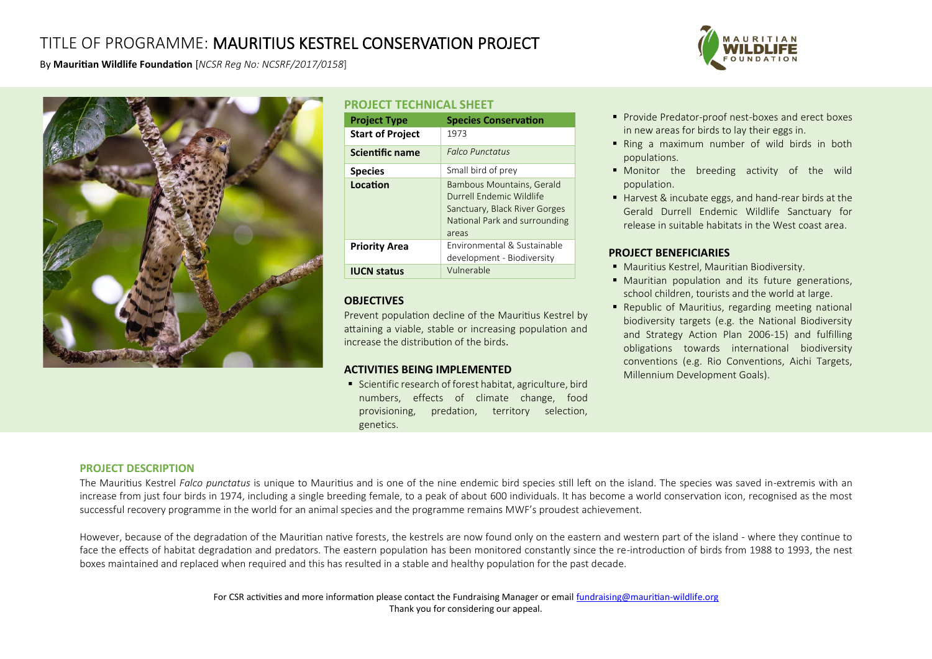# TITLE OF PROGRAMME: MAURITIUS KESTREL CONSERVATION PROJECT

By **Mauritian Wildlife Foundation** [*NCSR Reg No: NCSRF/2017/0158*]



## **PROJECT TECHNICAL SHEET**

| <b>Project Type</b>     | <b>Species Conservation</b>                                                                                                      |
|-------------------------|----------------------------------------------------------------------------------------------------------------------------------|
| <b>Start of Project</b> | 1973                                                                                                                             |
| <b>Scientific name</b>  | <b>Falco Punctatus</b>                                                                                                           |
| <b>Species</b>          | Small bird of prey                                                                                                               |
| Location                | Bambous Mountains, Gerald<br>Durrell Endemic Wildlife<br>Sanctuary, Black River Gorges<br>National Park and surrounding<br>areas |
| <b>Priority Area</b>    | Environmental & Sustainable<br>development - Biodiversity                                                                        |
| <b>IUCN status</b>      | Vulnerable                                                                                                                       |

### **OBJECTIVES**

Prevent population decline of the Mauritius Kestrel by attaining a viable, stable or increasing population and increase the distribution of the birds.

### **ACTIVITIES BEING IMPLEMENTED**

■ Scientific research of forest habitat, agriculture, bird numbers, effects of climate change, food provisioning, predation, territory selection, genetics.

- Provide Predator-proof nest-boxes and erect boxes in new areas for birds to lay their eggs in.
- Ring a maximum number of wild birds in both populations.
- **Monitor the breeding activity of the wild** population.
- Harvest & incubate eggs, and hand-rear birds at the Gerald Durrell Endemic Wildlife Sanctuary for release in suitable habitats in the West coast area.

## **PROJECT BENEFICIARIES**

- Mauritius Kestrel, Mauritian Biodiversity.
- Mauritian population and its future generations. school children, tourists and the world at large.
- Republic of Mauritius, regarding meeting national biodiversity targets (e.g. the National Biodiversity and Strategy Action Plan 2006-15) and fulfilling obligations towards international biodiversity conventions (e.g. Rio Conventions, Aichi Targets, Millennium Development Goals).

### **PROJECT DESCRIPTION**

The Mauritius Kestrel *Falco punctatus* is unique to Mauritius and is one of the nine endemic bird species still left on the island. The species was saved in-extremis with an increase from just four birds in 1974, including a single breeding female, to a peak of about 600 individuals. It has become a world conservation icon, recognised as the most successful recovery programme in the world for an animal species and the programme remains MWF's proudest achievement.

However, because of the degradation of the Mauritian native forests, the kestrels are now found only on the eastern and western part of the island - where they continue to face the effects of habitat degradation and predators. The eastern population has been monitored constantly since the re-introduction of birds from 1988 to 1993, the nest boxes maintained and replaced when required and this has resulted in a stable and healthy population for the past decade.

> For CSR activities and more information please contact the Fundraising Manager or emai[l fundraising@mauritian-wildlife.org](mailto:fundraising@mauritian-wildlife.org) Thank you for considering our appeal.